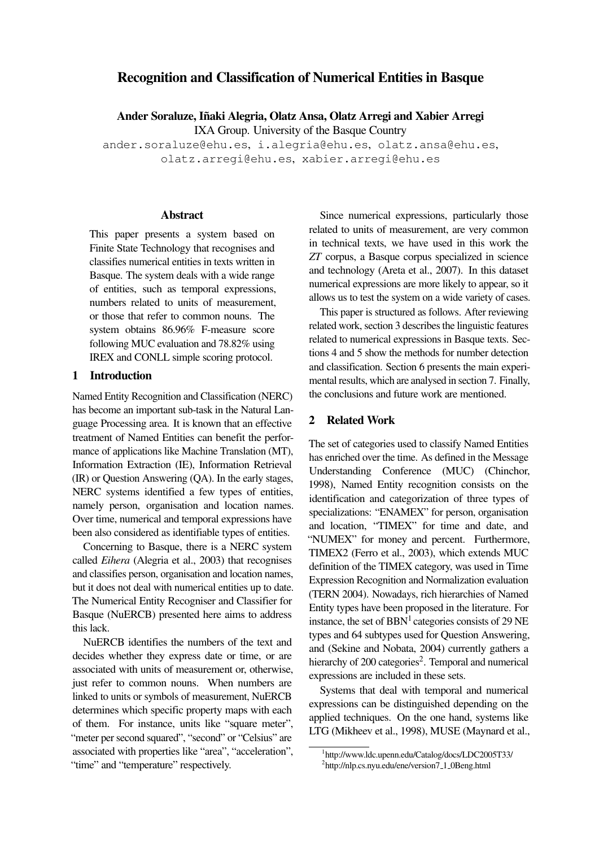# Recognition and Classification of Numerical Entities in Basque

Ander Soraluze, Iñaki Alegria, Olatz Ansa, Olatz Arregi and Xabier Arregi

IXA Group. University of the Basque Country

ander.soraluze@ehu.es, i.alegria@ehu.es, olatz.ansa@ehu.es, olatz.arregi@ehu.es, xabier.arregi@ehu.es

## Abstract

This paper presents a system based on Finite State Technology that recognises and classifies numerical entities in texts written in Basque. The system deals with a wide range of entities, such as temporal expressions, numbers related to units of measurement, or those that refer to common nouns. The system obtains 86.96% F-measure score following MUC evaluation and 78.82% using IREX and CONLL simple scoring protocol.

## 1 Introduction

Named Entity Recognition and Classification (NERC) has become an important sub-task in the Natural Language Processing area. It is known that an effective treatment of Named Entities can benefit the performance of applications like Machine Translation (MT), Information Extraction (IE), Information Retrieval (IR) or Question Answering (QA). In the early stages, NERC systems identified a few types of entities, namely person, organisation and location names. Over time, numerical and temporal expressions have been also considered as identifiable types of entities.

Concerning to Basque, there is a NERC system called *Eihera* (Alegria et al., 2003) that recognises and classifies person, organisation and location names, but it does not deal with numerical entities up to date. The Numerical Entity Recogniser and Classifier for Basque (NuERCB) presented here aims to address this lack.

NuERCB identifies the numbers of the text and decides whether they express date or time, or are associated with units of measurement or, otherwise, just refer to common nouns. When numbers are linked to units or symbols of measurement, NuERCB determines which specific property maps with each of them. For instance, units like "square meter", "meter per second squared", "second" or "Celsius" are associated with properties like "area", "acceleration", "time" and "temperature" respectively.

Since numerical expressions, particularly those related to units of measurement, are very common in technical texts, we have used in this work the *ZT* corpus, a Basque corpus specialized in science and technology (Areta et al., 2007). In this dataset numerical expressions are more likely to appear, so it allows us to test the system on a wide variety of cases.

This paper is structured as follows. After reviewing related work, section 3 describes the linguistic features related to numerical expressions in Basque texts. Sections 4 and 5 show the methods for number detection and classification. Section 6 presents the main experimental results, which are analysed in section 7. Finally, the conclusions and future work are mentioned.

# 2 Related Work

The set of categories used to classify Named Entities has enriched over the time. As defined in the Message Understanding Conference (MUC) (Chinchor, 1998), Named Entity recognition consists on the identification and categorization of three types of specializations: "ENAMEX" for person, organisation and location, "TIMEX" for time and date, and "NUMEX" for money and percent. Furthermore, TIMEX2 (Ferro et al., 2003), which extends MUC definition of the TIMEX category, was used in Time Expression Recognition and Normalization evaluation (TERN 2004). Nowadays, rich hierarchies of Named Entity types have been proposed in the literature. For instance, the set of  $BBN<sup>1</sup>$  categories consists of 29 NE types and 64 subtypes used for Question Answering, and (Sekine and Nobata, 2004) currently gathers a hierarchy of 200 categories<sup>2</sup>. Temporal and numerical expressions are included in these sets.

Systems that deal with temporal and numerical expressions can be distinguished depending on the applied techniques. On the one hand, systems like LTG (Mikheev et al., 1998), MUSE (Maynard et al.,

<sup>1</sup> http://www.ldc.upenn.edu/Catalog/docs/LDC2005T33/ <sup>2</sup>http://nlp.cs.nyu.edu/ene/version7\_1\_0Beng.html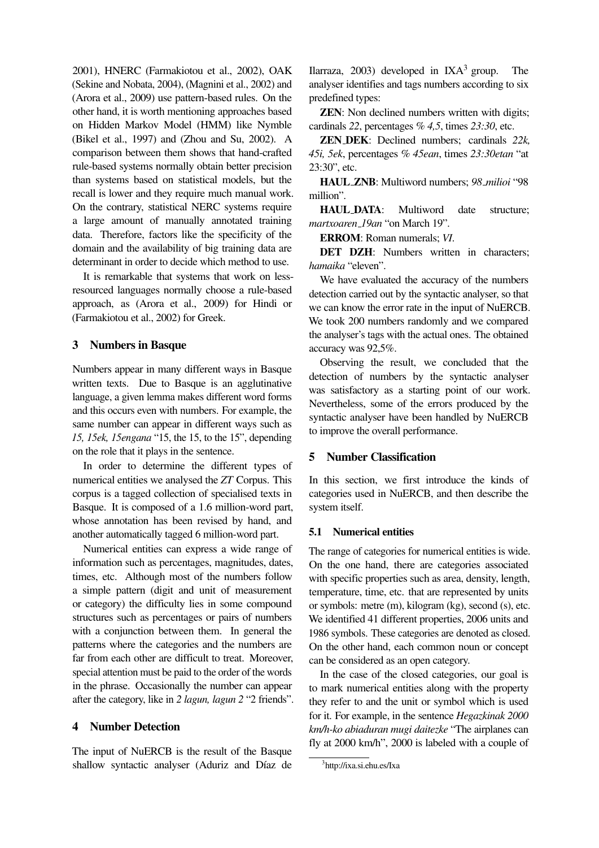2001), HNERC (Farmakiotou et al., 2002), OAK (Sekine and Nobata, 2004), (Magnini et al., 2002) and (Arora et al., 2009) use pattern-based rules. On the other hand, it is worth mentioning approaches based on Hidden Markov Model (HMM) like Nymble (Bikel et al., 1997) and (Zhou and Su, 2002). A comparison between them shows that hand-crafted rule-based systems normally obtain better precision than systems based on statistical models, but the recall is lower and they require much manual work. On the contrary, statistical NERC systems require a large amount of manually annotated training data. Therefore, factors like the specificity of the domain and the availability of big training data are determinant in order to decide which method to use.

It is remarkable that systems that work on lessresourced languages normally choose a rule-based approach, as (Arora et al., 2009) for Hindi or (Farmakiotou et al., 2002) for Greek.

## 3 Numbers in Basque

Numbers appear in many different ways in Basque written texts. Due to Basque is an agglutinative language, a given lemma makes different word forms and this occurs even with numbers. For example, the same number can appear in different ways such as *15, 15ek, 15engana* "15, the 15, to the 15", depending on the role that it plays in the sentence.

In order to determine the different types of numerical entities we analysed the *ZT* Corpus. This corpus is a tagged collection of specialised texts in Basque. It is composed of a 1.6 million-word part, whose annotation has been revised by hand, and another automatically tagged 6 million-word part.

Numerical entities can express a wide range of information such as percentages, magnitudes, dates, times, etc. Although most of the numbers follow a simple pattern (digit and unit of measurement or category) the difficulty lies in some compound structures such as percentages or pairs of numbers with a conjunction between them. In general the patterns where the categories and the numbers are far from each other are difficult to treat. Moreover, special attention must be paid to the order of the words in the phrase. Occasionally the number can appear after the category, like in *2 lagun, lagun 2* "2 friends".

## 4 Number Detection

The input of NuERCB is the result of the Basque shallow syntactic analyser (Aduriz and Díaz de Ilarraza, 2003) developed in  $IXA<sup>3</sup>$  group. The analyser identifies and tags numbers according to six predefined types:

**ZEN:** Non declined numbers written with digits; cardinals *22*, percentages *% 4,5*, times *23:30*, etc.

ZEN DEK: Declined numbers; cardinals *22k, 45i, 5ek*, percentages *% 45ean*, times *23:30etan* "at 23:30", etc.

HAUL ZNB: Multiword numbers; *98 milioi* "98 million".

HAUL DATA: Multiword date structure; *martxoaren 19an* "on March 19".

ERROM: Roman numerals; *VI*.

DET DZH: Numbers written in characters: *hamaika* "eleven".

We have evaluated the accuracy of the numbers detection carried out by the syntactic analyser, so that we can know the error rate in the input of NuERCB. We took 200 numbers randomly and we compared the analyser's tags with the actual ones. The obtained accuracy was 92,5%.

Observing the result, we concluded that the detection of numbers by the syntactic analyser was satisfactory as a starting point of our work. Nevertheless, some of the errors produced by the syntactic analyser have been handled by NuERCB to improve the overall performance.

## 5 Number Classification

In this section, we first introduce the kinds of categories used in NuERCB, and then describe the system itself.

#### 5.1 Numerical entities

The range of categories for numerical entities is wide. On the one hand, there are categories associated with specific properties such as area, density, length, temperature, time, etc. that are represented by units or symbols: metre (m), kilogram (kg), second (s), etc. We identified 41 different properties, 2006 units and 1986 symbols. These categories are denoted as closed. On the other hand, each common noun or concept can be considered as an open category.

In the case of the closed categories, our goal is to mark numerical entities along with the property they refer to and the unit or symbol which is used for it. For example, in the sentence *Hegazkinak 2000 km/h-ko abiaduran mugi daitezke* "The airplanes can fly at 2000 km/h", 2000 is labeled with a couple of

<sup>3</sup> http://ixa.si.ehu.es/Ixa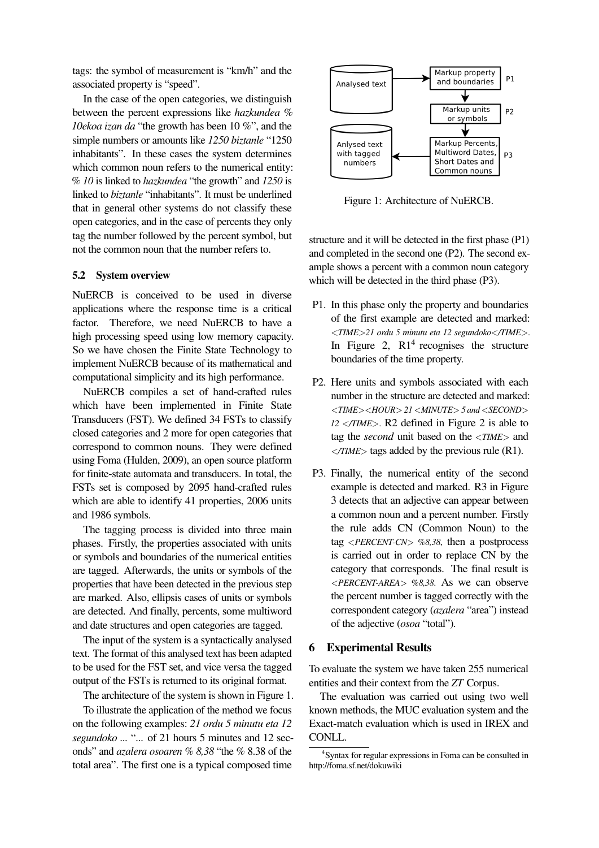tags: the symbol of measurement is "km/h" and the associated property is "speed".

In the case of the open categories, we distinguish between the percent expressions like *hazkundea % 10ekoa izan da* "the growth has been 10 %", and the simple numbers or amounts like *1250 biztanle* "1250 inhabitants". In these cases the system determines which common noun refers to the numerical entity: *% 10* is linked to *hazkundea* "the growth" and *1250* is linked to *biztanle* "inhabitants". It must be underlined that in general other systems do not classify these open categories, and in the case of percents they only tag the number followed by the percent symbol, but not the common noun that the number refers to.

#### 5.2 System overview

NuERCB is conceived to be used in diverse applications where the response time is a critical factor. Therefore, we need NuERCB to have a high processing speed using low memory capacity. So we have chosen the Finite State Technology to implement NuERCB because of its mathematical and computational simplicity and its high performance.

NuERCB compiles a set of hand-crafted rules which have been implemented in Finite State Transducers (FST). We defined 34 FSTs to classify closed categories and 2 more for open categories that correspond to common nouns. They were defined using Foma (Hulden, 2009), an open source platform for finite-state automata and transducers. In total, the FSTs set is composed by 2095 hand-crafted rules which are able to identify 41 properties, 2006 units and 1986 symbols.

The tagging process is divided into three main phases. Firstly, the properties associated with units or symbols and boundaries of the numerical entities are tagged. Afterwards, the units or symbols of the properties that have been detected in the previous step are marked. Also, ellipsis cases of units or symbols are detected. And finally, percents, some multiword and date structures and open categories are tagged.

The input of the system is a syntactically analysed text. The format of this analysed text has been adapted to be used for the FST set, and vice versa the tagged output of the FSTs is returned to its original format.

The architecture of the system is shown in Figure 1.

To illustrate the application of the method we focus on the following examples: *21 ordu 5 minutu eta 12 segundoko ...* "... of 21 hours 5 minutes and 12 seconds" and *azalera osoaren % 8,38* "the % 8.38 of the total area". The first one is a typical composed time



Figure 1: Architecture of NuERCB.

structure and it will be detected in the first phase (P1) and completed in the second one (P2). The second example shows a percent with a common noun category which will be detected in the third phase (P3).

- P1. In this phase only the property and boundaries of the first example are detected and marked: <*TIME*>*21 ordu 5 minutu eta 12 segundoko*<*/TIME*>. In Figure 2,  $R1<sup>4</sup>$  recognises the structure boundaries of the time property.
- P2. Here units and symbols associated with each number in the structure are detected and marked: <*TIME*><*HOUR*> *21* <*MINUTE*> *5 and* <*SECOND*> *12* <*/TIME*>. R2 defined in Figure 2 is able to tag the *second* unit based on the <*TIME*> and <*/TIME*> tags added by the previous rule (R1).
- P3. Finally, the numerical entity of the second example is detected and marked. R3 in Figure 3 detects that an adjective can appear between a common noun and a percent number. Firstly the rule adds CN (Common Noun) to the tag <*PERCENT-CN*> *%8,38*, then a postprocess is carried out in order to replace CN by the category that corresponds. The final result is <*PERCENT-AREA*> *%8,38*. As we can observe the percent number is tagged correctly with the correspondent category (*azalera* "area") instead of the adjective (*osoa* "total").

#### 6 Experimental Results

To evaluate the system we have taken 255 numerical entities and their context from the *ZT* Corpus.

The evaluation was carried out using two well known methods, the MUC evaluation system and the Exact-match evaluation which is used in IREX and CONLL.

<sup>4</sup> Syntax for regular expressions in Foma can be consulted in http://foma.sf.net/dokuwiki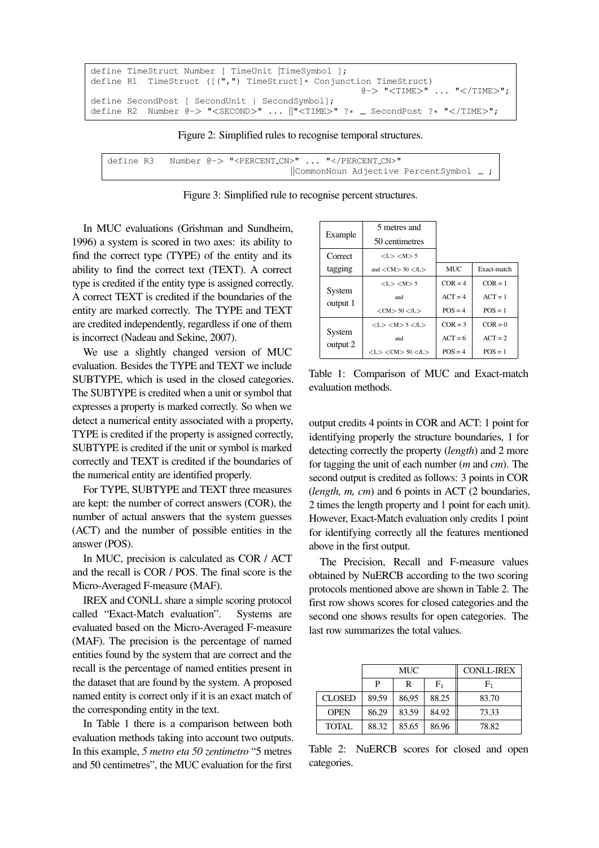```
define TimeStruct Number [ TimeUnit |TimeSymbol ];
define R1 TimeStruct ([(",") TimeStruct]* Conjunction TimeStruct)
                                                     @-> "<TIME>" ... "</TIME>";
define SecondPost [ SecondUnit | SecondSymbol];
define R2 Number @-> "<SECOND>" ... \|\cdot\|TIME>" ?* _ SecondPost ?* "</TIME>";
```
Figure 2: Simplified rules to recognise temporal structures.

define R3 Number @-> "<PERCENT CN>" ... "</PERCENT CN>" ||CommonNoun Adjective PercentSymbol ;

Figure 3: Simplified rule to recognise percent structures.

In MUC evaluations (Grishman and Sundheim, 1996) a system is scored in two axes: its ability to find the correct type (TYPE) of the entity and its ability to find the correct text (TEXT). A correct type is credited if the entity type is assigned correctly. A correct TEXT is credited if the boundaries of the entity are marked correctly. The TYPE and TEXT are credited independently, regardless if one of them is incorrect (Nadeau and Sekine, 2007).

We use a slightly changed version of MUC evaluation. Besides the TYPE and TEXT we include SUBTYPE, which is used in the closed categories. The SUBTYPE is credited when a unit or symbol that expresses a property is marked correctly. So when we detect a numerical entity associated with a property, TYPE is credited if the property is assigned correctly, SUBTYPE is credited if the unit or symbol is marked correctly and TEXT is credited if the boundaries of the numerical entity are identified properly.

For TYPE, SUBTYPE and TEXT three measures are kept: the number of correct answers (COR), the number of actual answers that the system guesses (ACT) and the number of possible entities in the answer (POS).

In MUC, precision is calculated as COR / ACT and the recall is COR / POS. The final score is the Micro-Averaged F-measure (MAF).

IREX and CONLL share a simple scoring protocol called "Exact-Match evaluation". Systems are evaluated based on the Micro-Averaged F-measure (MAF). The precision is the percentage of named entities found by the system that are correct and the recall is the percentage of named entities present in the dataset that are found by the system. A proposed named entity is correct only if it is an exact match of the corresponding entity in the text.

In Table 1 there is a comparison between both evaluation methods taking into account two outputs. In this example, *5 metro eta 50 zentimetro* "5 metres and 50 centimetres", the MUC evaluation for the first

|                    | 5 metres and                                         |            |             |
|--------------------|------------------------------------------------------|------------|-------------|
| Example            | 50 centimetres                                       |            |             |
| Correct            | < L > < M > 5                                        |            |             |
| tagging            | and $\langle$ CM $\rangle$ 50 $\langle$ /L $\rangle$ | <b>MUC</b> | Exact-match |
| System<br>output 1 | < L > < M > 5                                        | $COR = 4$  | $COR = 1$   |
|                    | and                                                  | $ACT = 4$  | $ACT = 1$   |
|                    | $<$ CM $> 50$ $<$ /L $>$                             | $POS = 4$  | $POS = 1$   |
| System<br>output 2 | < L > < M > 5 < L >                                  | $COR = 3$  | $COR = 0$   |
|                    | and                                                  | $ACT = 6$  | $ACT = 2$   |
|                    | $<$ L $>$ $<$ CM $>$ 50 $<$ /L $>$                   | $POS = 4$  | $POS = 1$   |

Table 1: Comparison of MUC and Exact-match evaluation methods.

output credits 4 points in COR and ACT: 1 point for identifying properly the structure boundaries, 1 for detecting correctly the property (*length*) and 2 more for tagging the unit of each number (*m* and *cm*). The second output is credited as follows: 3 points in COR (*length, m, cm*) and 6 points in ACT (2 boundaries, 2 times the length property and 1 point for each unit). However, Exact-Match evaluation only credits 1 point for identifying correctly all the features mentioned above in the first output.

The Precision, Recall and F-measure values obtained by NuERCB according to the two scoring protocols mentioned above are shown in Table 2. The first row shows scores for closed categories and the second one shows results for open categories. The last row summarizes the total values.

|               | MUC   |       | <b>CONLL-IREX</b> |       |
|---------------|-------|-------|-------------------|-------|
|               | P     | R     | ${\rm F}_1$       | $F_1$ |
| <b>CLOSED</b> | 89.59 | 86,95 | 88.25             | 83.70 |
| <b>OPEN</b>   | 86.29 | 83.59 | 84.92             | 73.33 |
| TOTAL         | 88.32 | 85.65 | 86.96             | 78.82 |

Table 2: NuERCB scores for closed and open categories.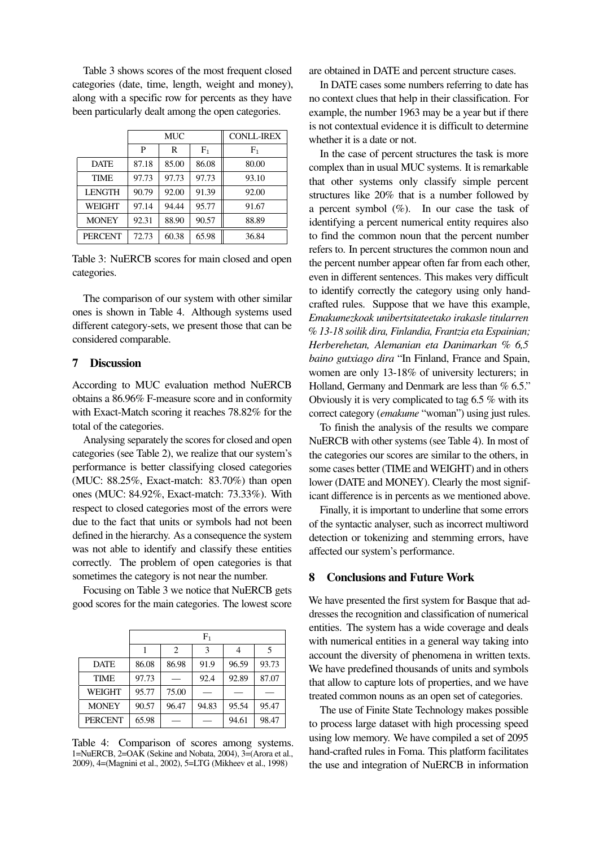Table 3 shows scores of the most frequent closed categories (date, time, length, weight and money), along with a specific row for percents as they have been particularly dealt among the open categories.

|                | MUC   |       | <b>CONLL-IREX</b> |       |
|----------------|-------|-------|-------------------|-------|
|                | P     | R     | $F_1$             | $F_1$ |
| <b>DATE</b>    | 87.18 | 85.00 | 86.08             | 80.00 |
| <b>TIME</b>    | 97.73 | 97.73 | 97.73             | 93.10 |
| <b>LENGTH</b>  | 90.79 | 92.00 | 91.39             | 92.00 |
| WEIGHT         | 97.14 | 94.44 | 95.77             | 91.67 |
| <b>MONEY</b>   | 92.31 | 88.90 | 90.57             | 88.89 |
| <b>PERCENT</b> | 72.73 | 60.38 | 65.98             | 36.84 |

Table 3: NuERCB scores for main closed and open categories.

The comparison of our system with other similar ones is shown in Table 4. Although systems used different category-sets, we present those that can be considered comparable.

#### 7 Discussion

According to MUC evaluation method NuERCB obtains a 86.96% F-measure score and in conformity with Exact-Match scoring it reaches 78.82% for the total of the categories.

Analysing separately the scores for closed and open categories (see Table 2), we realize that our system's performance is better classifying closed categories (MUC: 88.25%, Exact-match: 83.70%) than open ones (MUC: 84.92%, Exact-match: 73.33%). With respect to closed categories most of the errors were due to the fact that units or symbols had not been defined in the hierarchy. As a consequence the system was not able to identify and classify these entities correctly. The problem of open categories is that sometimes the category is not near the number.

Focusing on Table 3 we notice that NuERCB gets good scores for the main categories. The lowest score

|                | ${\rm F_1}$ |       |       |       |       |
|----------------|-------------|-------|-------|-------|-------|
|                |             | 2     | 3     | 4     | 5     |
| <b>DATE</b>    | 86.08       | 86.98 | 91.9  | 96.59 | 93.73 |
| <b>TIME</b>    | 97.73       |       | 92.4  | 92.89 | 87.07 |
| WEIGHT         | 95.77       | 75.00 |       |       |       |
| <b>MONEY</b>   | 90.57       | 96.47 | 94.83 | 95.54 | 95.47 |
| <b>PERCENT</b> | 65.98       |       |       | 94.61 | 98.47 |

Table 4: Comparison of scores among systems. 1=NuERCB, 2=OAK (Sekine and Nobata, 2004), 3=(Arora et al., 2009), 4=(Magnini et al., 2002), 5=LTG (Mikheev et al., 1998)

are obtained in DATE and percent structure cases.

In DATE cases some numbers referring to date has no context clues that help in their classification. For example, the number 1963 may be a year but if there is not contextual evidence it is difficult to determine whether it is a date or not.

In the case of percent structures the task is more complex than in usual MUC systems. It is remarkable that other systems only classify simple percent structures like 20% that is a number followed by a percent symbol  $(\%)$ . In our case the task of identifying a percent numerical entity requires also to find the common noun that the percent number refers to. In percent structures the common noun and the percent number appear often far from each other, even in different sentences. This makes very difficult to identify correctly the category using only handcrafted rules. Suppose that we have this example, *Emakumezkoak unibertsitateetako irakasle titularren % 13-18 soilik dira, Finlandia, Frantzia eta Espainian; Herberehetan, Alemanian eta Danimarkan % 6,5 baino gutxiago dira* "In Finland, France and Spain, women are only 13-18% of university lecturers; in Holland, Germany and Denmark are less than % 6.5." Obviously it is very complicated to tag 6.5 % with its correct category (*emakume* "woman") using just rules.

To finish the analysis of the results we compare NuERCB with other systems (see Table 4). In most of the categories our scores are similar to the others, in some cases better (TIME and WEIGHT) and in others lower (DATE and MONEY). Clearly the most significant difference is in percents as we mentioned above.

Finally, it is important to underline that some errors of the syntactic analyser, such as incorrect multiword detection or tokenizing and stemming errors, have affected our system's performance.

# 8 Conclusions and Future Work

We have presented the first system for Basque that addresses the recognition and classification of numerical entities. The system has a wide coverage and deals with numerical entities in a general way taking into account the diversity of phenomena in written texts. We have predefined thousands of units and symbols that allow to capture lots of properties, and we have treated common nouns as an open set of categories.

The use of Finite State Technology makes possible to process large dataset with high processing speed using low memory. We have compiled a set of 2095 hand-crafted rules in Foma. This platform facilitates the use and integration of NuERCB in information